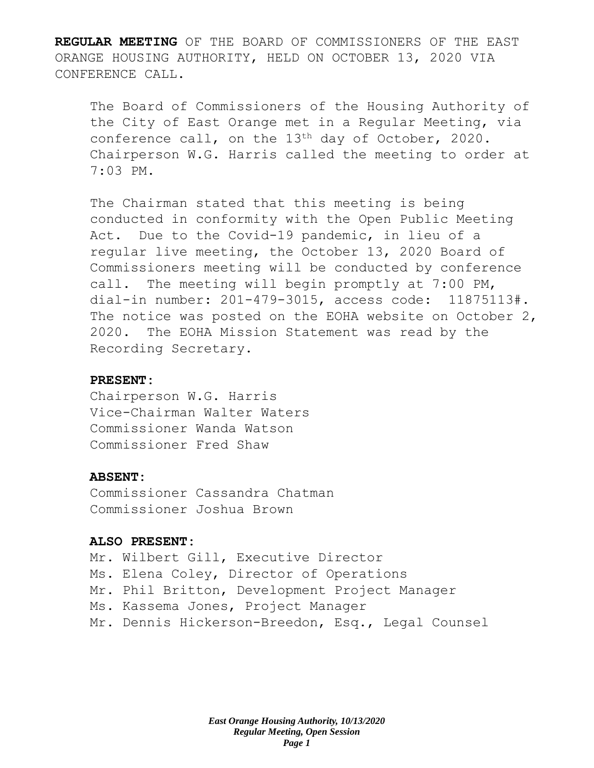**REGULAR MEETING** OF THE BOARD OF COMMISSIONERS OF THE EAST ORANGE HOUSING AUTHORITY, HELD ON OCTOBER 13, 2020 VIA CONFERENCE CALL.

The Board of Commissioners of the Housing Authority of the City of East Orange met in a Regular Meeting, via conference call, on the 13<sup>th</sup> day of October, 2020. Chairperson W.G. Harris called the meeting to order at 7:03 PM.

The Chairman stated that this meeting is being conducted in conformity with the Open Public Meeting Act. Due to the Covid-19 pandemic, in lieu of a regular live meeting, the October 13, 2020 Board of Commissioners meeting will be conducted by conference call. The meeting will begin promptly at 7:00 PM, dial-in number: 201-479-3015, access code: 11875113#. The notice was posted on the EOHA website on October 2, 2020. The EOHA Mission Statement was read by the Recording Secretary.

### **PRESENT:**

Chairperson W.G. Harris Vice-Chairman Walter Waters Commissioner Wanda Watson Commissioner Fred Shaw

#### **ABSENT:**

Commissioner Cassandra Chatman Commissioner Joshua Brown

## **ALSO PRESENT:**

Mr. Wilbert Gill, Executive Director Ms. Elena Coley, Director of Operations Mr. Phil Britton, Development Project Manager Ms. Kassema Jones, Project Manager Mr. Dennis Hickerson-Breedon, Esq., Legal Counsel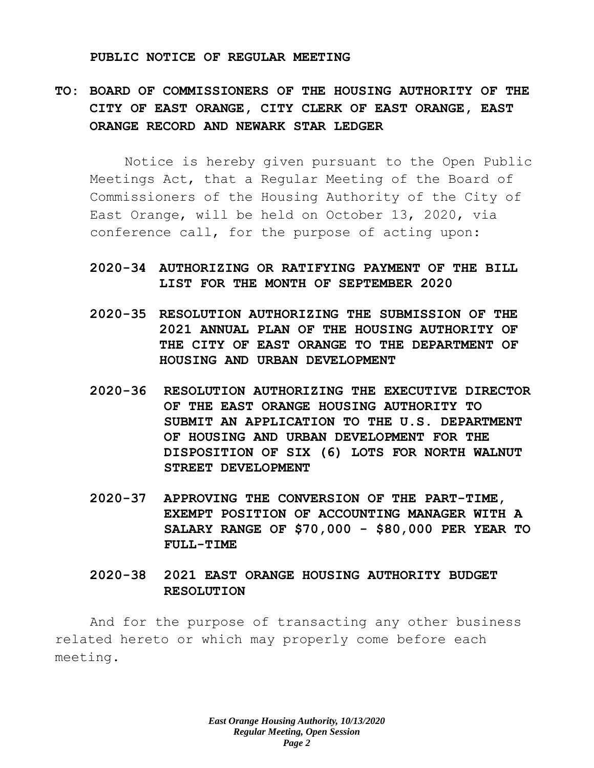#### **PUBLIC NOTICE OF REGULAR MEETING**

# **TO: BOARD OF COMMISSIONERS OF THE HOUSING AUTHORITY OF THE CITY OF EAST ORANGE, CITY CLERK OF EAST ORANGE, EAST ORANGE RECORD AND NEWARK STAR LEDGER**

Notice is hereby given pursuant to the Open Public Meetings Act, that a Regular Meeting of the Board of Commissioners of the Housing Authority of the City of East Orange, will be held on October 13, 2020, via conference call, for the purpose of acting upon:

## **2020-34 AUTHORIZING OR RATIFYING PAYMENT OF THE BILL LIST FOR THE MONTH OF SEPTEMBER 2020**

- **2020-35 RESOLUTION AUTHORIZING THE SUBMISSION OF THE 2021 ANNUAL PLAN OF THE HOUSING AUTHORITY OF THE CITY OF EAST ORANGE TO THE DEPARTMENT OF HOUSING AND URBAN DEVELOPMENT**
- **2020-36 RESOLUTION AUTHORIZING THE EXECUTIVE DIRECTOR OF THE EAST ORANGE HOUSING AUTHORITY TO SUBMIT AN APPLICATION TO THE U.S. DEPARTMENT OF HOUSING AND URBAN DEVELOPMENT FOR THE DISPOSITION OF SIX (6) LOTS FOR NORTH WALNUT STREET DEVELOPMENT**
- **2020-37 APPROVING THE CONVERSION OF THE PART-TIME, EXEMPT POSITION OF ACCOUNTING MANAGER WITH A SALARY RANGE OF \$70,000 - \$80,000 PER YEAR TO FULL-TIME**

# **2020-38 2021 EAST ORANGE HOUSING AUTHORITY BUDGET RESOLUTION**

And for the purpose of transacting any other business related hereto or which may properly come before each meeting.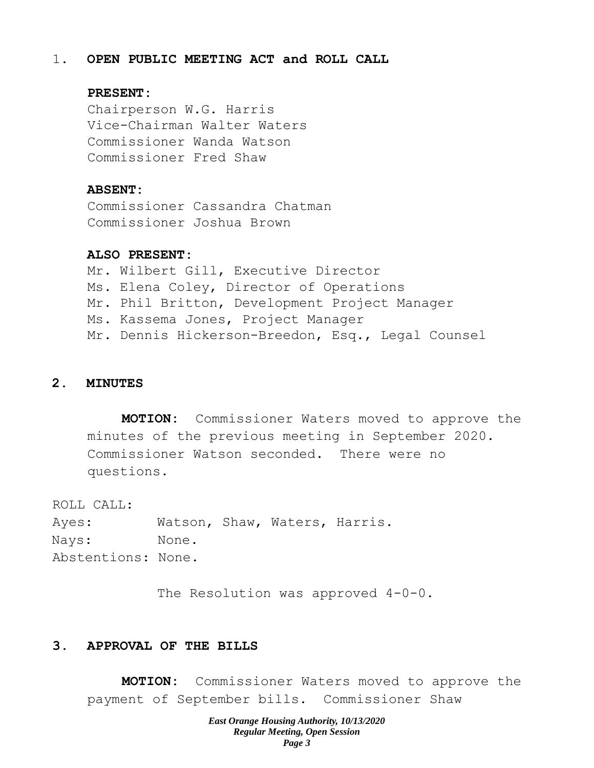### 1. **OPEN PUBLIC MEETING ACT and ROLL CALL**

#### **PRESENT:**

Chairperson W.G. Harris Vice-Chairman Walter Waters Commissioner Wanda Watson Commissioner Fred Shaw

#### **ABSENT:**

Commissioner Cassandra Chatman Commissioner Joshua Brown

### **ALSO PRESENT:**

Mr. Wilbert Gill, Executive Director Ms. Elena Coley, Director of Operations Mr. Phil Britton, Development Project Manager Ms. Kassema Jones, Project Manager Mr. Dennis Hickerson-Breedon, Esq., Legal Counsel

#### **2. MINUTES**

**MOTION:** Commissioner Waters moved to approve the minutes of the previous meeting in September 2020. Commissioner Watson seconded. There were no questions.

ROLL CALL:

Ayes: Watson, Shaw, Waters, Harris. Nays: None. Abstentions: None.

The Resolution was approved  $4-0-0$ .

## **3. APPROVAL OF THE BILLS**

**MOTION:** Commissioner Waters moved to approve the payment of September bills. Commissioner Shaw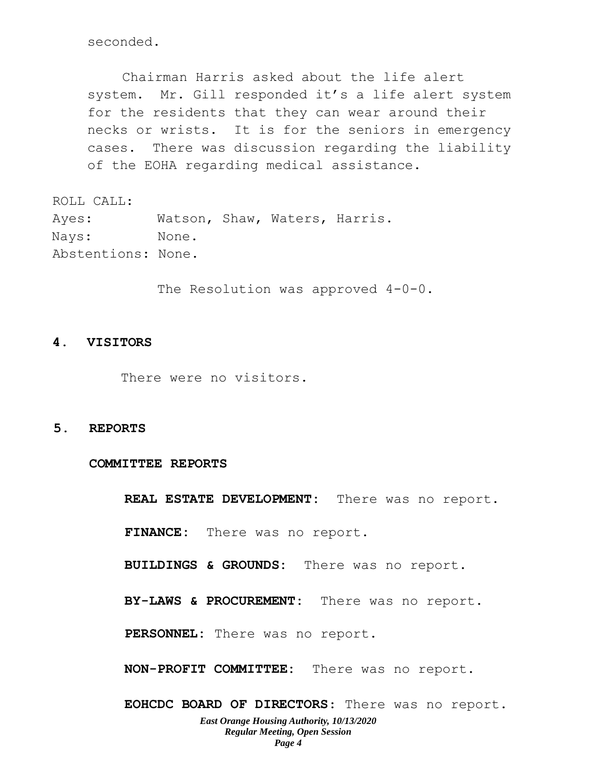seconded.

Chairman Harris asked about the life alert system. Mr. Gill responded it's a life alert system for the residents that they can wear around their necks or wrists. It is for the seniors in emergency cases. There was discussion regarding the liability of the EOHA regarding medical assistance.

ROLL CALL: Ayes: Watson, Shaw, Waters, Harris. Nays: None. Abstentions: None.

The Resolution was approved  $4-0-0$ .

#### **4. VISITORS**

There were no visitors.

**5. REPORTS**

**COMMITTEE REPORTS**

**REAL ESTATE DEVELOPMENT:** There was no report.

**FINANCE:** There was no report.

**BUILDINGS & GROUNDS:** There was no report.

**BY-LAWS & PROCUREMENT:** There was no report.

**PERSONNEL:** There was no report.

**NON-PROFIT COMMITTEE:** There was no report.

*East Orange Housing Authority, 10/13/2020 Regular Meeting, Open Session Page 4* **EOHCDC BOARD OF DIRECTORS**: There was no report.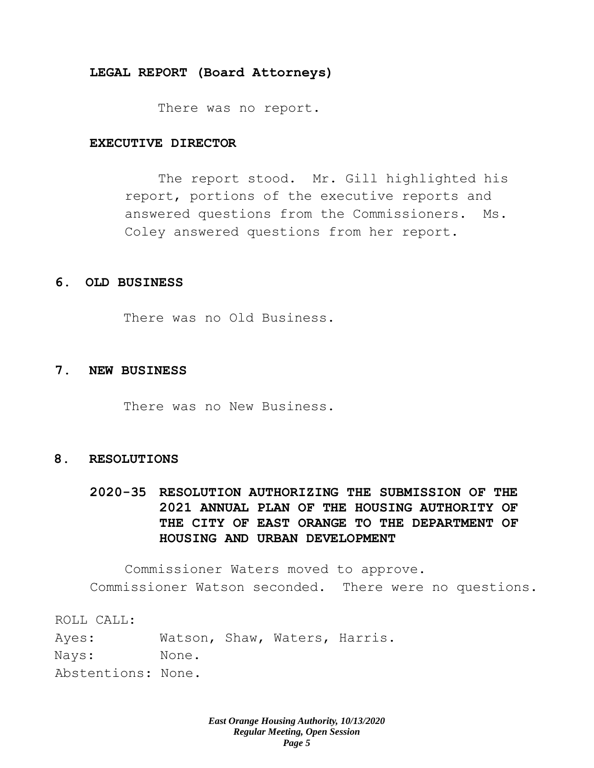#### **LEGAL REPORT (Board Attorneys)**

There was no report.

#### **EXECUTIVE DIRECTOR**

The report stood. Mr. Gill highlighted his report, portions of the executive reports and answered questions from the Commissioners. Ms. Coley answered questions from her report.

#### **6. OLD BUSINESS**

There was no Old Business.

#### **7. NEW BUSINESS**

There was no New Business.

#### **8. RESOLUTIONS**

# **2020-35 RESOLUTION AUTHORIZING THE SUBMISSION OF THE 2021 ANNUAL PLAN OF THE HOUSING AUTHORITY OF THE CITY OF EAST ORANGE TO THE DEPARTMENT OF HOUSING AND URBAN DEVELOPMENT**

Commissioner Waters moved to approve. Commissioner Watson seconded. There were no questions.

ROLL CALL: Ayes: Watson, Shaw, Waters, Harris. Nays: None. Abstentions: None.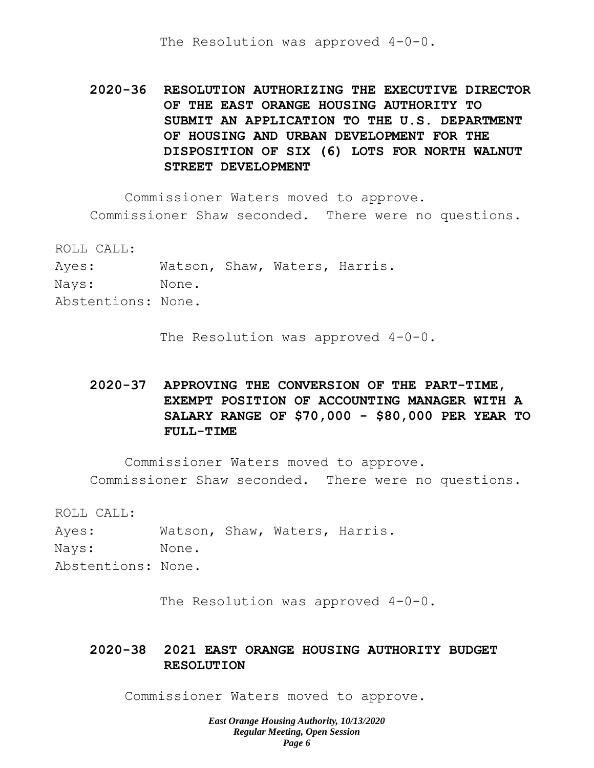The Resolution was approved 4-0-0.

**2020-36 RESOLUTION AUTHORIZING THE EXECUTIVE DIRECTOR OF THE EAST ORANGE HOUSING AUTHORITY TO SUBMIT AN APPLICATION TO THE U.S. DEPARTMENT OF HOUSING AND URBAN DEVELOPMENT FOR THE DISPOSITION OF SIX (6) LOTS FOR NORTH WALNUT STREET DEVELOPMENT**

Commissioner Waters moved to approve. Commissioner Shaw seconded. There were no questions.

ROLL CALL: Ayes: Watson, Shaw, Waters, Harris. Nays: None. Abstentions: None.

The Resolution was approved  $4-0-0$ .

# **2020-37 APPROVING THE CONVERSION OF THE PART-TIME, EXEMPT POSITION OF ACCOUNTING MANAGER WITH A SALARY RANGE OF \$70,000 - \$80,000 PER YEAR TO FULL-TIME**

Commissioner Waters moved to approve. Commissioner Shaw seconded. There were no questions.

ROLL CALL:

Ayes: Watson, Shaw, Waters, Harris. Nays: None. Abstentions: None.

The Resolution was approved 4-0-0.

# **2020-38 2021 EAST ORANGE HOUSING AUTHORITY BUDGET RESOLUTION**

Commissioner Waters moved to approve.